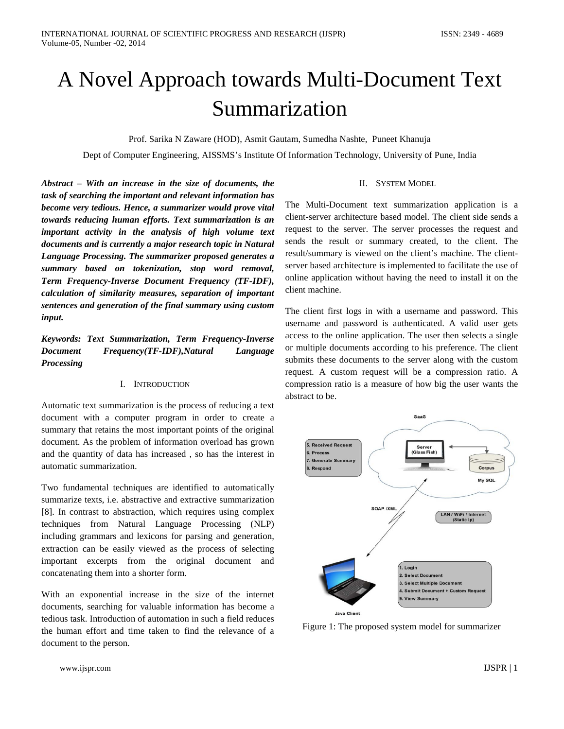# A Novel Approach towards Multi-Document Text Summarization

Prof. Sarika N Zaware (HOD), Asmit Gautam, Sumedha Nashte, Puneet Khanuja

Dept of Computer Engineering, AISSMS's Institute Of Information Technology, University of Pune, India

*Abstract – With an increase in the size of documents, the task of searching the important and relevant information has become very tedious. Hence, a summarizer would prove vital towards reducing human efforts. Text summarization is an important activity in the analysis of high volume text documents and is currently a major research topic in Natural Language Processing. The summarizer proposed generates a summary based on tokenization, stop word removal, Term Frequency-Inverse Document Frequency (TF-IDF), calculation of similarity measures, separation of important sentences and generation of the final summary using custom input.*

*Keywords: Text Summarization, Term Frequency-Inverse Document Frequency(TF-IDF),Natural Language Processing*

### I. INTRODUCTION

Automatic text summarization is the process of reducing a text document with a computer program in order to create a summary that retains the most important points of the original document. As the problem of information overload has grown and the quantity of data has increased , so has the interest in automatic summarization.

Two fundamental techniques are identified to automatically summarize texts, i.e. abstractive and extractive summarization [8]. In contrast to abstraction, which requires using complex techniques from Natural Language Processing (NLP) including grammars and lexicons for parsing and generation, extraction can be easily viewed as the process of selecting important excerpts from the original document and concatenating them into a shorter form.

With an exponential increase in the size of the internet documents, searching for valuable information has become a tedious task. Introduction of automation in such a field reduces the human effort and time taken to find the relevance of a document to the person.

## II. SYSTEM MODEL

The Multi-Document text summarization application is a client-server architecture based model. The client side sends a request to the server. The server processes the request and sends the result or summary created, to the client. The result/summary is viewed on the client's machine. The clientserver based architecture is implemented to facilitate the use of online application without having the need to install it on the client machine.

The client first logs in with a username and password. This username and password is authenticated. A valid user gets access to the online application. The user then selects a single or multiple documents according to his preference. The client submits these documents to the server along with the custom request. A custom request will be a compression ratio. A compression ratio is a measure of how big the user wants the abstract to be.



Figure 1: The proposed system model for summarizer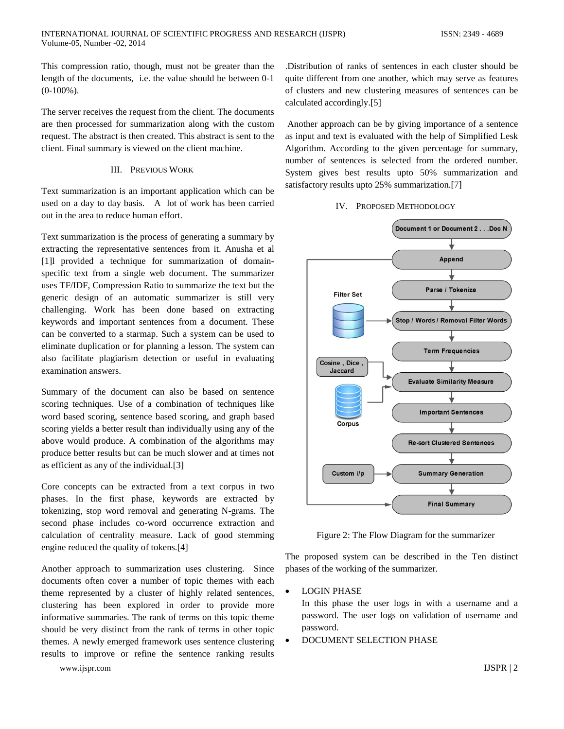This compression ratio, though, must not be greater than the length of the documents, i.e. the value should be between 0-1  $(0-100\%)$ .

The server receives the request from the client. The documents are then processed for summarization along with the custom request. The abstract is then created. This abstract is sent to the client. Final summary is viewed on the client machine.

#### III. PREVIOUS WORK

Text summarization is an important application which can be used on a day to day basis. A lot of work has been carried out in the area to reduce human effort.

Text summarization is the process of generating a summary by extracting the representative sentences from it. Anusha et al [1]l provided a technique for summarization of domainspecific text from a single web document. The summarizer uses TF/IDF, Compression Ratio to summarize the text but the generic design of an automatic summarizer is still very challenging. Work has been done based on extracting keywords and important sentences from a document. These can be converted to a starmap. Such a system can be used to eliminate duplication or for planning a lesson. The system can also facilitate plagiarism detection or useful in evaluating examination answers.

Summary of the document can also be based on sentence scoring techniques. Use of a combination of techniques like word based scoring, sentence based scoring, and graph based scoring yields a better result than individually using any of the above would produce. A combination of the algorithms may produce better results but can be much slower and at times not as efficient as any of the individual.[3]

Core concepts can be extracted from a text corpus in two phases. In the first phase, keywords are extracted by tokenizing, stop word removal and generating N-grams. The second phase includes co-word occurrence extraction and calculation of centrality measure. Lack of good stemming engine reduced the quality of tokens.[4]

Another approach to summarization uses clustering. Since documents often cover a number of topic themes with each theme represented by a cluster of highly related sentences, clustering has been explored in order to provide more informative summaries. The rank of terms on this topic theme should be very distinct from the rank of terms in other topic themes. A newly emerged framework uses sentence clustering results to improve or refine the sentence ranking results

www.ijspr.com IJSPR | 2

.Distribution of ranks of sentences in each cluster should be quite different from one another, which may serve as features of clusters and new clustering measures of sentences can be calculated accordingly.[5]

Another approach can be by giving importance of a sentence as input and text is evaluated with the help of Simplified Lesk Algorithm. According to the given percentage for summary, number of sentences is selected from the ordered number. System gives best results upto 50% summarization and satisfactory results upto 25% summarization.[7]

#### IV. PROPOSED METHODOLOGY



Figure 2: The Flow Diagram for the summarizer

The proposed system can be described in the Ten distinct phases of the working of the summarizer.

• LOGIN PHASE

In this phase the user logs in with a username and a password. The user logs on validation of username and password.

• DOCUMENT SELECTION PHASE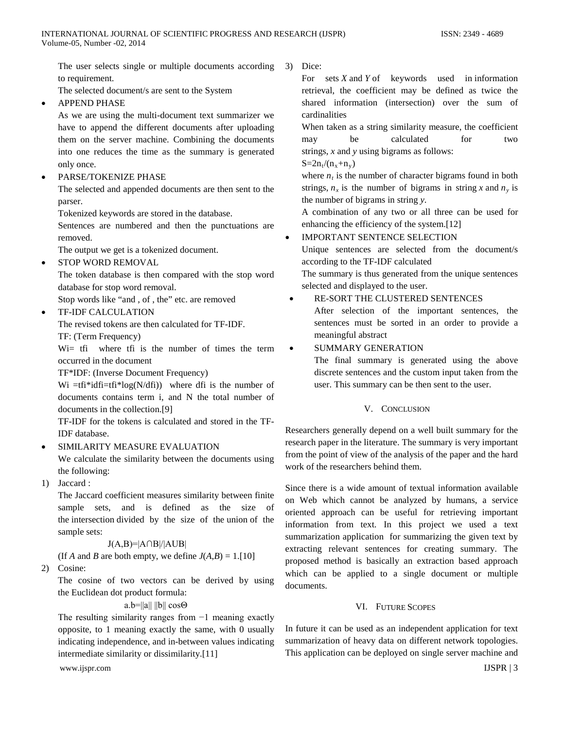The user selects single or multiple documents according to requirement.

The selected document/s are sent to the System

• APPEND PHASE

As we are using the multi-document text summarizer we have to append the different documents after uploading them on the server machine. Combining the documents into one reduces the time as the summary is generated only once.

• PARSE/TOKENIZE PHASE

The selected and appended documents are then sent to the parser.

Tokenized keywords are stored in the database.

Sentences are numbered and then the punctuations are removed.

The output we get is a tokenized document.

• STOP WORD REMOVAL

The token database is then compared with the stop word database for stop word removal.

Stop words like "and , of , the" etc. are removed

• TF-IDF CALCULATION

The revised tokens are then calculated for TF-IDF.

TF: (Term Frequency)

W<sub>i</sub> tfi where tfi is the number of times the term occurred in the document

TF\*IDF: (Inverse Document Frequency)

Wi =tfi\*idfi=tfi\*log( $N/df$ i)) where dfi is the number of documents contains term i, and N the total number of documents in the collection.[9]

TF-IDF for the tokens is calculated and stored in the TF-IDF database.

• SIMILARITY MEASURE EVALUATION

We calculate the similarity between the documents using the following:

1) Jaccard :

The Jaccard coefficient measures similarity between finite sample sets, and is defined as the size of the [intersection](http://en.wikipedia.org/wiki/Intersection_(set_theory)) divided by the size of the [union](http://en.wikipedia.org/wiki/Union_(set_theory)) of the sample sets:

 $J(A,B)=|A \cap B|/|A \cup B|$ 

(If *A* and *B* are both empty, we define  $J(A,B) = 1$ .[10]

2) Cosine:

The cosine of two vectors can be derived by using the [Euclidean dot product](http://en.wikipedia.org/wiki/Euclidean_vector%23Dot_product) formula:

## a.b=||a|| ||b|| cosΘ

The resulting similarity ranges from −1 meaning exactly opposite, to 1 meaning exactly the same, with 0 usually indicating independence, and in-between values indicating intermediate similarity or dissimilarity.[11]

www.ijspr.com IJSPR | 3

3) Dice:

For sets *X* and *Y* of keywords used in [information](http://en.wikipedia.org/wiki/Information_retrieval) [retrieval,](http://en.wikipedia.org/wiki/Information_retrieval) the coefficient may be defined as twice the shared information (intersection) over the sum of cardinalities

When taken as a string similarity measure, the coefficient may be calculated for two strings, *x* and *y* using [bigrams](http://en.wikipedia.org/wiki/Bigram) as follows:

 $S=2n_t/(n_x+n_y)$ 

where  $n_t$  is the number of character bigrams found in both strings,  $n_x$  is the number of bigrams in string x and  $n_y$  is the number of bigrams in string *y*.

A combination of any two or all three can be used for enhancing the efficiency of the system.[12]

IMPORTANT SENTENCE SELECTION

Unique sentences are selected from the document/s according to the TF-IDF calculated

The summary is thus generated from the unique sentences selected and displayed to the user.

• RE-SORT THE CLUSTERED SENTENCES After selection of the important sentences, the sentences must be sorted in an order to provide a meaningful abstract

# • SUMMARY GENERATION

The final summary is generated using the above discrete sentences and the custom input taken from the user. This summary can be then sent to the user.

## V. CONCLUSION

Researchers generally depend on a well built summary for the research paper in the literature. The summary is very important from the point of view of the analysis of the paper and the hard work of the researchers behind them.

Since there is a wide amount of textual information available on Web which cannot be analyzed by humans, a service oriented approach can be useful for retrieving important information from text. In this project we used a text summarization application for summarizing the given text by extracting relevant sentences for creating summary. The proposed method is basically an extraction based approach which can be applied to a single document or multiple documents.

# VI. FUTURE SCOPES

In future it can be used as an independent application for text summarization of heavy data on different network topologies. This application can be deployed on single server machine and